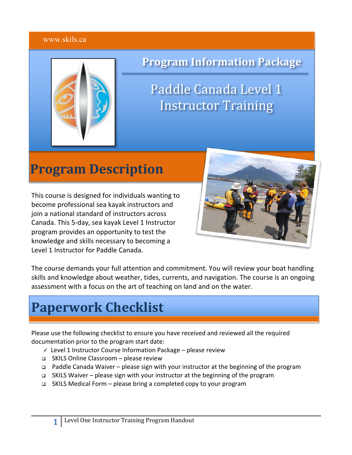#### www.skils.ca



## **Program Information Package**

Paddle Canada Level 1 **Instructor Training** 

# **Program Description**

This course is designed for individuals wanting to become professional sea kayak instructors and join a national standard of instructors across Canada. This 5-day, sea kayak Level 1 Instructor program provides an opportunity to test the knowledge and skills necessary to becoming a Level 1 Instructor for Paddle Canada.



The course demands your full attention and commitment. You will review your boat handling skills and knowledge about weather, tides, currents, and navigation. The course is an ongoing assessment with a focus on the art of teaching on land and on the water.

# **Paperwork Checklist**

Please use the following checklist to ensure you have received and reviewed all the required documentation prior to the program start date:

- ✓ Level 1 Instructor Course Information Package please review
- <sup>q</sup> SKILS Online Classroom please review
- <sup>q</sup> Paddle Canada Waiver please sign with your instructor at the beginning of the program
- <sup>q</sup> SKILS Waiver please sign with your instructor at the beginning of the program
- <sup>q</sup> SKILS Medical Form please bring a completed copy to your program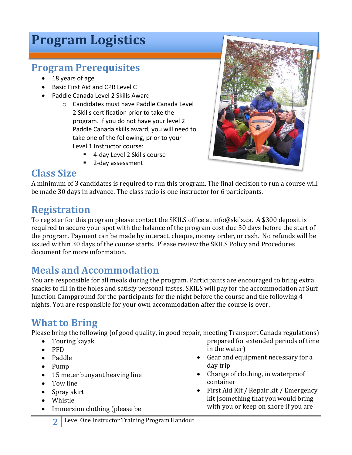# **Program Logistics**

### **Program Prerequisites**

- 18 years of age
- Basic First Aid and CPR Level C
- Paddle Canada Level 2 Skills Award
	- o Candidates must have Paddle Canada Level 2 Skills certification prior to take the program. If you do not have your level 2 Paddle Canada skills award, you will need to take one of the following, prior to your Level 1 Instructor course:
		- 4-day Level 2 Skills course
		- § 2-day assessment



### **Class Size**

A minimum of 3 candidates is required to run this program. The final decision to run a course will be made 30 days in advance. The class ratio is one instructor for 6 participants.

## **Registration**

To register for this program please contact the SKILS office at info@skils.ca. A \$300 deposit is required to secure your spot with the balance of the program cost due 30 days before the start of the program. Payment can be made by interact, cheque, money order, or cash. No refunds will be issued within 30 days of the course starts. Please review the SKILS Policy and Procedures document for more information.

## **Meals and Accommodation**

You are responsible for all meals during the program. Participants are encouraged to bring extra snacks to fill in the holes and satisfy personal tastes. SKILS will pay for the accommodation at Surf Junction Campground for the participants for the night before the course and the following  $4$ nights. You are responsible for your own accommodation after the course is over.

## **What to Bring**

Please bring the following (of good quality, in good repair, meeting Transport Canada regulations)

- Touring kayak
- PFD
- Paddle
- Pump
- 15 meter buoyant heaving line
- Tow line
- Spray skirt
- Whistle
- Immersion clothing (please be
- prepared for extended periods of time in the water)
- Gear and equipment necessary for a day trip
- Change of clothing, in waterproof container
- First Aid Kit / Repair kit / Emergency kit (something that you would bring with you or keep on shore if you are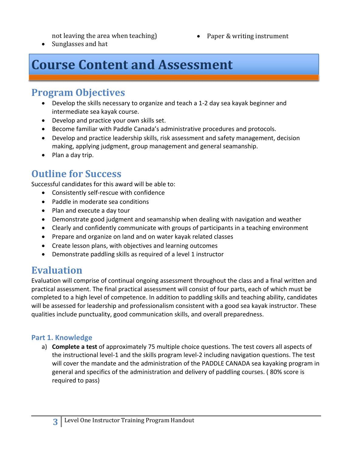not leaving the area when teaching)

• Paper & writing instrument

• Sunglasses and hat

# **Course Content and Assessment**

#### **Program Objectives**

- Develop the skills necessary to organize and teach a 1-2 day sea kayak beginner and intermediate sea kayak course.
- Develop and practice your own skills set.
- Become familiar with Paddle Canada's administrative procedures and protocols.
- Develop and practice leadership skills, risk assessment and safety management, decision making, applying judgment, group management and general seamanship.
- Plan a day trip.

### **Outline for Success**

Successful candidates for this award will be able to:

- Consistently self-rescue with confidence
- Paddle in moderate sea conditions
- Plan and execute a day tour
- Demonstrate good judgment and seamanship when dealing with navigation and weather
- Clearly and confidently communicate with groups of participants in a teaching environment
- Prepare and organize on land and on water kayak related classes
- Create lesson plans, with objectives and learning outcomes
- Demonstrate paddling skills as required of a level 1 instructor

### **Evaluation**

Evaluation will comprise of continual ongoing assessment throughout the class and a final written and practical assessment. The final practical assessment will consist of four parts, each of which must be completed to a high level of competence. In addition to paddling skills and teaching ability, candidates will be assessed for leadership and professionalism consistent with a good sea kayak instructor. These qualities include punctuality, good communication skills, and overall preparedness.

#### **Part 1. Knowledge**

a) **Complete a test** of approximately 75 multiple choice questions. The test covers all aspects of the instructional level-1 and the skills program level-2 including navigation questions. The test will cover the mandate and the administration of the PADDLE CANADA sea kayaking program in general and specifics of the administration and delivery of paddling courses. ( 80% score is required to pass)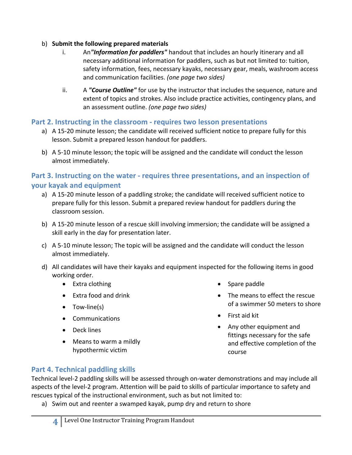#### b) **Submit the following prepared materials**

- i. An*"Information for paddlers"* handout that includes an hourly itinerary and all necessary additional information for paddlers, such as but not limited to: tuition, safety information, fees, necessary kayaks, necessary gear, meals, washroom access and communication facilities. *(one page two sides)*
- ii. A *"Course Outline"* for use by the instructor that includes the sequence, nature and extent of topics and strokes. Also include practice activities, contingency plans, and an assessment outline. *(one page two sides)*

#### **Part 2. Instructing in the classroom - requires two lesson presentations**

- a) A 15-20 minute lesson; the candidate will received sufficient notice to prepare fully for this lesson. Submit a prepared lesson handout for paddlers.
- b) A 5-10 minute lesson; the topic will be assigned and the candidate will conduct the lesson almost immediately.

#### **Part 3. Instructing on the water - requires three presentations, and an inspection of your kayak and equipment**

- a) A 15-20 minute lesson of a paddling stroke; the candidate will received sufficient notice to prepare fully for this lesson. Submit a prepared review handout for paddlers during the classroom session.
- b) A 15-20 minute lesson of a rescue skill involving immersion; the candidate will be assigned a skill early in the day for presentation later.
- c) A 5-10 minute lesson; The topic will be assigned and the candidate will conduct the lesson almost immediately.
- d) All candidates will have their kayaks and equipment inspected for the following items in good working order.
	- Extra clothing
	- Extra food and drink
	- Tow-line(s)
	- Communications
	- Deck lines
	- Means to warm a mildly hypothermic victim
- Spare paddle
- The means to effect the rescue of a swimmer 50 meters to shore
- First aid kit
- Any other equipment and fittings necessary for the safe and effective completion of the course

#### **Part 4. Technical paddling skills**

Technical level-2 paddling skills will be assessed through on-water demonstrations and may include all aspects of the level-2 program. Attention will be paid to skills of particular importance to safety and rescues typical of the instructional environment, such as but not limited to:

a) Swim out and reenter a swamped kayak, pump dry and return to shore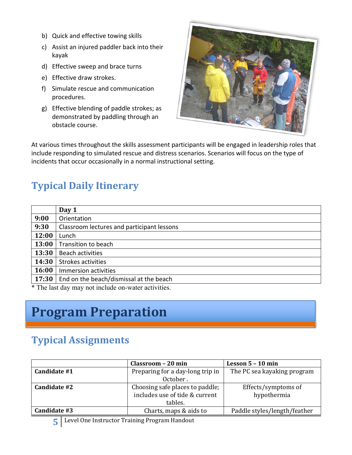- b) Quick and effective towing skills
- c) Assist an injured paddler back into their kayak
- d) Effective sweep and brace turns
- e) Effective draw strokes.
- f) Simulate rescue and communication procedures.
- g) Effective blending of paddle strokes; as demonstrated by paddling through an obstacle course.



At various times throughout the skills assessment participants will be engaged in leadership roles that include responding to simulated rescue and distress scenarios. Scenarios will focus on the type of incidents that occur occasionally in a normal instructional setting.

## **Typical Daily Itinerary**

|       | Day 1                                      |
|-------|--------------------------------------------|
| 9:00  | Orientation                                |
| 9:30  | Classroom lectures and participant lessons |
| 12:00 | Lunch                                      |
| 13:00 | Transition to beach                        |
| 13:30 | <b>Beach activities</b>                    |
| 14:30 | <b>Strokes activities</b>                  |
| 16:00 | Immersion activities                       |
| 17:30 | End on the beach/dismissal at the beach    |

\* The last day may not include on-water activities.

# **Program Preparation**

## **Typical Assignments**

|              | Classroom - 20 min               | Lesson 5 – 10 min            |  |
|--------------|----------------------------------|------------------------------|--|
| Candidate #1 | Preparing for a day-long trip in | The PC sea kayaking program  |  |
|              | October.                         |                              |  |
| Candidate #2 | Choosing safe places to paddle;  | Effects/symptoms of          |  |
|              | includes use of tide & current   | hypothermia                  |  |
|              | tables.                          |                              |  |
| Candidate #3 | Charts, maps & aids to           | Paddle styles/length/feather |  |

**5** Level One Instructor Training Program Handout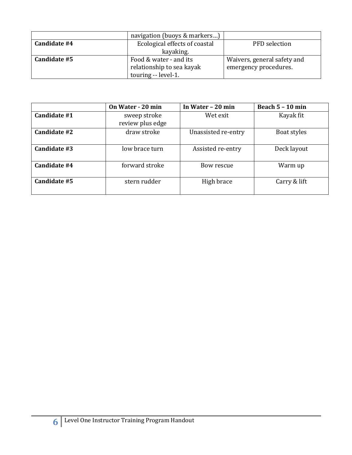|              | navigation (buoys & markers)  |                             |
|--------------|-------------------------------|-----------------------------|
| Candidate #4 | Ecological effects of coastal | PFD selection               |
|              | kayaking.                     |                             |
| Candidate #5 | Food & water - and its        | Waivers, general safety and |
|              | relationship to sea kayak     | emergency procedures.       |
|              | touring -- level-1.           |                             |

|              | On Water - 20 min                | In Water - 20 min   | Beach $5 - 10$ min |
|--------------|----------------------------------|---------------------|--------------------|
| Candidate #1 | sweep stroke<br>review plus edge | Wet exit            | Kayak fit          |
| Candidate #2 | draw stroke                      | Unassisted re-entry | Boat styles        |
| Candidate #3 | low brace turn                   | Assisted re-entry   | Deck layout        |
| Candidate #4 | forward stroke                   | Bow rescue          | Warm up            |
| Candidate #5 | stern rudder                     | High brace          | Carry & lift       |